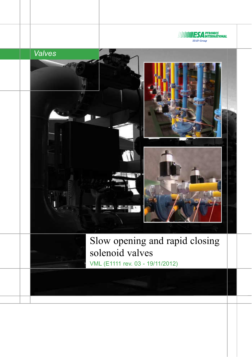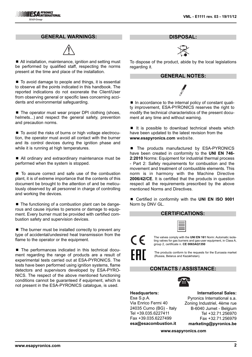### **GENERAL WARNINGS:**



■ All installation, maintenance, ignition and setting must be performed by qualified staff, respecting the norms present at the time and place of the installation.

■ To avoid damage to people and things, it is essential to observe all the points indicated in this handbook. The reported indications do not exonerate the Client/User from observing general or specific laws concerning accidents and environmental safeguarding.

■ The operator must wear proper DPI clothing (shoes, helmets...) and respect the general safety, prevention and precaution norms.

■ To avoid the risks of burns or high voltage electrocution, the operator must avoid all contact with the burner and its control devices during the ignition phase and while it is running at high temperatures.

■ All ordinary and extraordinary maintenance must be performed when the system is stopped.

■ To assure correct and safe use of the combustion plant, it is of extreme importance that the contents of this document be brought to the attention of and be meticulously observed by all personnel in charge of controlling and working the devices.

■ The functioning of a combustion plant can be dangerous and cause injuries to persons or damage to equipment. Every burner must be provided with certified combustion safety and supervision devices.

 $\blacksquare$  The burner must be installed correctly to prevent any type of accidental/undesired heat transmission from the flame to the operator or the equipment.

■ The performances indicated in this technical document regarding the range of products are a result of experimental tests carried out at ESA-PYRONICS. The tests have been performed using ignition systems, flame detectors and supervisors developed by ESA-PYRO-NICS. The respect of the above mentioned functioning conditions cannot be guaranteed if equipment, which is not present in the ESA-PYRONICS catalogue, is used.

**DISPOSAL:**



To dispose of the product, abide by the local legislations regarding it.

#### **GENERAL NOTES:**

■ In accordance to the internal policy of constant quality improvement, ESA-PYRONICS reserves the right to modify the technical characteristics of the present document at any time and without warning.

 $\blacksquare$  It is possible to download technical sheets which have been updated to the latest revision from the **www.esapyronics.com** website.

■ The products manufactured by ESA-PYRONICS have been created in conformity to the **UNI EN 746- 2:2010** Norms: Equipment for industrial thermal process - Part 2: Safety requirements for combustion and the movement and treatment of combustible elements. This norm is in harmony with the Machine Directive **2006/42/CE**. It is certified that the products in question respect all the requirements prescribed by the above mentioned Norms and Directives.

■ Certified in conformity with the **UNI EN ISO 9001** Norm by DNV GL.

### **CERTIFICATIONS:**

The valves comply with the **UNI EN 161** Norm: Automatic isolating valves for gas burners and gas-user equipment, in Class A, group 2, certificate n. **CE 0063AQ1350**

The products conform to the requests for the Euroasia market (Russia, Belarus and Kazakhstan).

## **CONTACTS / ASSISTANCE:**



**Headquarters:** Esa S.p.A. Via Enrico Fermi 40 24035 Curno (BG) - Italy Tel +39.035.6227411 Fax +39.035.6227499 **esa@esacombustion.it**

 $\epsilon$ 

**International Sales:** Pyronics International s.a. Zoning Industriel, 4ème rue B-6040 Jumet - Belgium Tel +32.71.256970 Fax +32.71.256979 **marketing@pyronics.be**

**www.esapyronics.com**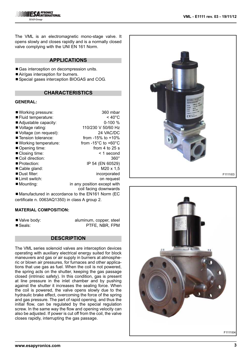**ESA PYRONICS**<br>ESA INTERNATIONAL **SIAD Group** 

The VML is an electromagnetic mono-stage valve. It opens slowly and closes rapidly and is a normally closed valve complying with the UNI EN 161 Norm.

## **APPLICATIONS**

- Gas interception on decompression units.
- Air/gas interception for burners.
- Special gases interception BIOGAS and COG.

### **CHARACTERISTICS**

#### **GENERAL:**

| ■ Working pressure:          | 360 mbar                                |
|------------------------------|-----------------------------------------|
|                              |                                         |
| ■ Fluid temperature:         | $< 40^{\circ}$ C                        |
| ■ Adjustable capacity:       | $0-100 \%$                              |
| Voltage rating:              | 110/230 V 50/60 Hz                      |
| Voltage (on request):        | 24 VAC/DC                               |
| ■ Tension tolerance:         | from $-15\%$ to $+10\%$                 |
| ■ Working temperature:       | from $-15^{\circ}$ C to $+60^{\circ}$ C |
| Opening time:                | from 4 to $25 s$                        |
| ■ Closing time:              | $<$ 1 second                            |
| Coil direction:              | $360^\circ$                             |
| ■ Protection:                | IP 54 (EN 60529)                        |
| Cable gland:                 | $M20 \times 1,5$                        |
| ■ Dust filter:               | incorporated                            |
| $\blacksquare$ Limit switch: | on request                              |
| $\blacksquare$ Mounting:     | in any position except with             |
|                              | coil facing downwards                   |

■ Manufactured in accordance to the EN161 Norm (EC certificate n. 0063AQ1350) in class A group 2.

#### **MATERIAL COMPOSITION:**

■ Valve body: aluminum, copper, steel ■ Seals: PTFE, NBR, FPM

### **DESCRIPTION**

The VML series solenoid valves are interception devices operating with auxiliary electrical energy suited for block maneuvers and gas or air supply in burners at atmospheric or blown air pressures, for furnaces and other applications that use gas as fuel. When the coil is not powered, the spring acts on the shutter, keeping the gas passage closed (intrinsic safety). In this condition, gas is present at line pressure in the inlet chamber and by pushing against the shutter it increases the sealing force. When the coil is powered, the valve opens slowly due to the hydraulic brake effect, overcoming the force of the spring and gas pressure. The part of rapid opening, and thus the initial flow, can be regulated by the special regulation screw. In the same way the flow and opening velocity can also be adjusted. If power is cut off from the coil, the valve closes rapidly, interrupting the gas passage.



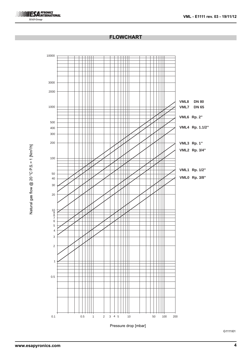# **ESA PYRONICS**<br> **ESA INTERNATIONAL SIAD Group**

## **FLOWCHART**



Natural gas flow @ 20 °C P.S.= 1 [Nm<sup>3/h]</sup> Natural gas flow  $@$  20  $°$  C P.S. = 1 [Nm<sup>3</sup>/h]

G1111I01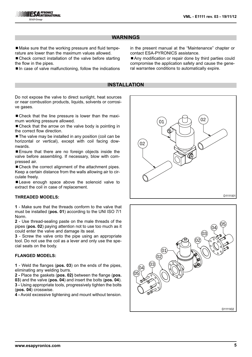# **WARNINGS**

■ Make sure that the working pressure and fluid temperature are lower than the maximum values allowed.

■ Check correct installation of the valve before starting the flow in the pipes.

 $\blacksquare$  In case of valve malfunctioning, follow the indications

in the present manual at the "Maintenance" chapter or contact ESA-PYRONICS assistance.

■ Any modification or repair done by third parties could compromise the application safety and cause the general warrantee conditions to automatically expire.

### **INSTALLATION**

Do not expose the valve to direct sunlight, heat sources or near combustion products, liquids, solvents or corrosive gases.

■ Check that the line pressure is lower than the maximum working pressure allowed.

 $\blacksquare$  Check that the arrow on the valve body is pointing in the correct flow direction.

■ The valve may be installed in any position (coil can be horizontal or vertical), except with coil facing downwards.

■ Ensure that there are no foreign objects inside the valve before assembling. If necessary, blow with compressed air.

■ Check the correct alignment of the attachment pipes. Keep a certain distance from the walls allowing air to circulate freely.

■ Leave enough space above the solenoid valve to extract the coil in case of replacement.

#### **THREADED MODELS:**

**1** - Make sure that the threads conform to the valve that must be installed (**pos. 01**) according to the UNI ISO 7/1 Norm.

**2** - Use thread-sealing paste on the male threads of the pipes (**pos. 02**) paying attention not to use too much as it could enter the valve and damage its seal.

**3** - Screw the valve onto the pipe using an appropriate tool. Do not use the coil as a lever and only use the special seats on the body.

### **FLANGED MODELS:**

**1** - Weld the flanges (**pos. 03**) on the ends of the pipes, eliminating any welding burrs.

**2 -** Place the gaskets (**pos. 02)** between the flange (**pos. 03**) and the valve (**pos. 04**) and insert the bolts (**pos. 04**). **3 -** Using appropriate tools, progressively tighten the bolts (**pos. 04**) crosswise.

**4 -** Avoid excessive tightening and mount without tension.



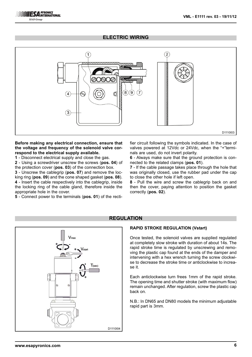# **ELECTRIC WIRING**



#### **Before making any electrical connection, ensure that the voltage and frequency of the solenoid valve correspond to the electrical supply available.**

**1** - Disconnect electrical supply and close the gas.

**2** - Using a screwdriver unscrew the screws (**pos. 04**) of the protection cover (**pos. 03**) of the connection box.

**3** - Unscrew the cablegrip (**pos. 07**) and remove the locking ring (**pos. 09**) and the cone shaped gasket (**pos. 08**). **4** - Insert the cable respectively into the cablegrip, inside the locking ring of the cable gland, therefore inside the appropriate hole in the cover.

**5** - Connect power to the terminals (**pos. 01**) of the recti-

fier circuit following the symbols indicated. In the case of valves powered at 12Vdc or 24Vdc, when the "+"terminals are used, do not invert polarity.

**6** - Always make sure that the ground protection is connected to the related clamps (**pos. 01**).

**7** - If the cable passage takes place through the hole that was originally closed, use the rubber pad under the cap to close the other hole if left open.

**8** - Pull the wire and screw the cablegrip back on and then the cover, paying attention to position the gasket correctly (**pos. 02**).



# **REGULATION**

#### **RAPID STROKE REGULATION (Vstart)**

Once tested, the solenoid valves are supplied regulated at completely slow stroke with duration of about 14s. The rapid stroke time is regulated by unscrewing and removing the plastic cap found at the ends of the damper and intervening with a hex wrench turning the screw clockwise to decrease the stroke time or anticlockwise to increase it.

Each anticlockwise turn frees 1mm of the rapid stroke. The opening time and shutter stroke (with maximum flow) remain unchanged. After regulation, screw the plastic cap back on.

N.B.: In DN65 and DN80 models the minimum adjustable rapid part is 3mm.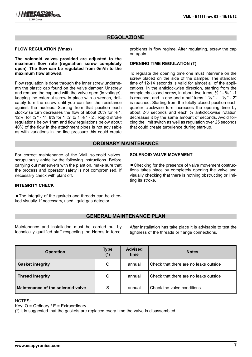# **REGOLAZIONE**

#### **FLOW REGULATION (Vmax)**

**The solenoid valves provided are adjusted to the maximum flow rate (regulation screw completely** open). The flow can be regulated from 0m<sup>3</sup>/h to the **maximum flow allowed.**

Flow regulation is done through the inner screw underneath the plastic cap found on the valve damper. Unscrew and remove the cap and with the valve open (in voltage), keeping the external screw in place with a wrench, delicately turn the screw until you can feel the resistance against the nucleus. Starting from that position each clockwise turn decreases the flow of about 20% for  $\frac{1}{2}$ ", 12% for  $\frac{3}{4}$  " - 1", 8% for 1  $\frac{1}{4}$ " to 1  $\frac{1}{2}$  " - 2". Rapid stroke regulations below 1mm and flow regulations below about 40% of the flow in the attachment pipes is not advisable as with variations in the line pressure this could create

problems in flow regime. After regulating, screw the cap on again.

#### **OPENING TIME REGULATION (T)**

To regulate the opening time one must intervene on the screw placed on the side of the damper. The standard time of 12-14 seconds is valid for almost all of the applications. In the anticlockwise direction, starting from the completely closed screw, in about two turns,  $\frac{1}{2}$  " -  $\frac{3}{4}$  " -1 is reached, and in one and a half turns 1  $\frac{1}{4}$  " - 1  $\frac{1}{2}$  " - 2" is reached. Starting from the totally closed position each quarter clockwise turn increases the opening time by about 2-3 seconds and each ¼ anticlockwise rotation decreases it by the same amount of seconds. Avoid forcing the limit switch as well as regulation over 25 seconds that could create turbulence during start-up.

### **ORDINARY MAINTENANCE**

For correct maintenance of the VML solenoid valves, scrupulously abide by the following instructions. Before carrying out maneuvers with the plant on, make sure that the process and operator safety is not compromised. If necessary check with plant off.

#### **SOLENOID VALVE MOVEMENT**

■ Checking for the presence of valve movement obstructions takes place by completely opening the valve and visually checking that there is nothing obstructing or limiting its stroke.

#### **INTEGRITY CHECK**

■ The integrity of the gaskets and threads can be checked visually. If necessary, used liquid gas detector.

## **GENERAL MAINTENANCE PLAN**

Maintenance and installation must be carried out by technically qualified staff respecting the Norms in force.

After installation has take place it is advisable to test the tightness of the threads or flange connections.

| <b>Operation</b>                  | <b>Type</b> | <b>Advised</b><br>time | <b>Notes</b>                          |
|-----------------------------------|-------------|------------------------|---------------------------------------|
| <b>Gasket integrity</b>           | O           | annual                 | Check that there are no leaks outside |
| Thread integrity                  | O           | annual                 | Check that there are no leaks outside |
| Maintenance of the solenoid valve | S           | annual                 | Check the valve conditions            |

NOTES:

Key:  $O =$  Ordinary /  $E =$  Extraordinary

(\*) it is suggested that the gaskets are replaced every time the valve is disassembled.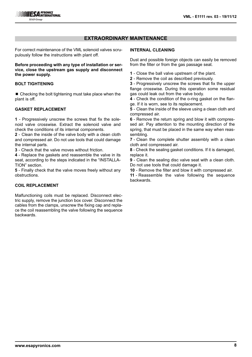# **EXTRAORDINARY MAINTENANCE**

For correct maintenance of the VML solenoid valves scrupulously follow the instructions with plant off.

**Before proceeding with any type of installation or service, close the upstream gas supply and disconnect the power supply.**

## **BOLT TIGHTENING**

 $\blacksquare$  Checking the bolt tightening must take place when the plant is off.

## **GASKET REPLACEMENT**

**1** - Progressively unscrew the screws that fix the solenoid valve crosswise. Extract the solenoid valve and check the conditions of its internal components.

**2** - Clean the inside of the valve body with a clean cloth and compressed air. Do not use tools that could damage the internal parts.

**3** - Check that the valve moves without friction.

**4** - Replace the gaskets and reassemble the valve in its seat, according to the steps indicated in the "INSTALLA-TION" section.

**5** - Finally check that the valve moves freely without any obstructions.

# **COIL REPLACEMENT**

Malfunctioning coils must be replaced. Disconnect electric supply, remove the junction box cover. Disconnect the cables from the clamps, unscrew the fixing cap and replace the coil reassembling the valve following the sequence backwards.

### **INTERNAL CLEANING**

Dust and possible foreign objects can easily be removed from the filter or from the gas passage seat.

- **1**  Close the ball valve upstream of the plant.
- **2**  Remove the coil as described previously.

**3** - Progressively unscrew the screws that fix the upper flange crosswise. During this operation some residual gas could leak out from the valve body.

**4** - Check the condition of the o-ring gasket on the flange. If it is worn, see to its replacement.

**5** - Clean the inside of the sleeve using a clean cloth and compressed air.

**6** - Remove the return spring and blow it with compressed air. Pay attention to the mounting direction of the spring, that must be placed in the same way when reassembling.

**7** - Clean the complete shutter assembly with a clean cloth and compressed air.

**8** - Check the sealing gasket conditions. If it is damaged, replace it.

**9** - Clean the sealing disc valve seat with a clean cloth. Do not use tools that could damage it.

**10** - Remove the filter and blow it with compressed air.

**11** - Reassemble the valve following the sequence backwards.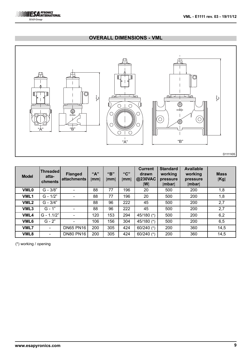

# **OVERALL DIMENSIONS - VML**



| <b>Model</b>     | <b>Threadedl</b><br>atta-<br>chments | <b>Flanged</b><br><b>attachments</b> | "A"<br>[mm] | "R"<br>[mm] | "C"<br>[mm] | <b>Current</b><br>drawn<br>@230VAC<br>[W] | <b>Standard</b><br>working<br>pressure<br>[mbar] | <b>Available</b><br>working<br>pressure<br>[mbar] | <b>Mass</b><br>[Kg] |
|------------------|--------------------------------------|--------------------------------------|-------------|-------------|-------------|-------------------------------------------|--------------------------------------------------|---------------------------------------------------|---------------------|
| <b>VML0</b>      | $G - 3/8"$                           |                                      | 88          | 77          | 196         | 20                                        | 500                                              | 200                                               | 1,8                 |
| VML <sub>1</sub> | $G - 1/2"$                           |                                      | 88          | 77          | 196         | 20                                        | 500                                              | 200                                               | 1,8                 |
| VML <sub>2</sub> | $G - 3/4"$                           |                                      | 88          | 96          | 222         | 45                                        | 500                                              | 200                                               | 2,7                 |
| VML3             | $G - 1"$                             |                                      | 88          | 96          | 222         | 45                                        | 500                                              | 200                                               | 2,7                 |
| VML4             | $G - 1.1/2"$                         |                                      | 120         | 153         | 294         | 45/180 (*)                                | 500                                              | 200                                               | 6,2                 |
| VML6             | $G - 2"$                             |                                      | 106         | 156         | 304         | 45/180 (*)                                | 500                                              | 200                                               | 6,5                 |
| <b>VML7</b>      |                                      | <b>DN65 PN16</b>                     | 200         | 305         | 424         | 60/240 $(*)$                              | 200                                              | 360                                               | 14,5                |
| VML8             | $\blacksquare$                       | <b>DN80 PN16</b>                     | 200         | 305         | 424         | 60/240 $(*)$                              | 200                                              | 360                                               | 14,5                |

(\*) working / opening